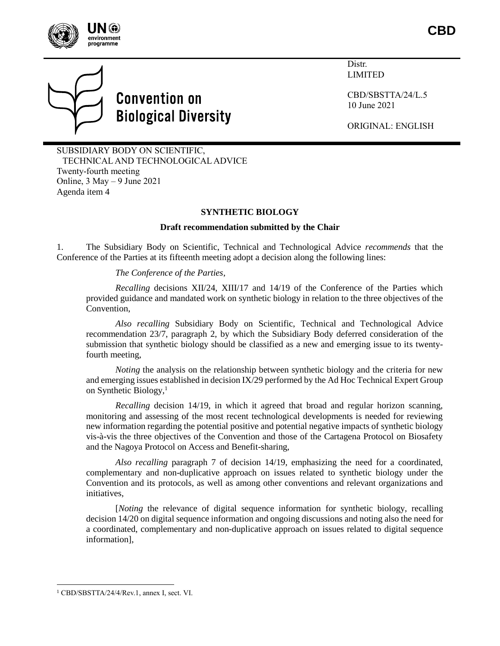



# **Convention on Biological Diversity**

Distr. LIMITED

CBD/SBSTTA/24/L.5 10 June 2021

ORIGINAL: ENGLISH

SUBSIDIARY BODY ON SCIENTIFIC, TECHNICAL AND TECHNOLOGICAL ADVICE Twenty-fourth meeting Online, 3 May – 9 June 2021 Agenda item 4

## **SYNTHETIC BIOLOGY**

#### **Draft recommendation submitted by the Chair**

1. The Subsidiary Body on Scientific, Technical and Technological Advice *recommends* that the Conference of the Parties at its fifteenth meeting adopt a decision along the following lines:

#### *The Conference of the Parties*,

*Recalling* decisions XII/24, XIII/17 and 14/19 of the Conference of the Parties which provided guidance and mandated work on synthetic biology in relation to the three objectives of the Convention,

*Also recalling* Subsidiary Body on Scientific, Technical and Technological Advice recommendation 23/7, paragraph 2, by which the Subsidiary Body deferred consideration of the submission that synthetic biology should be classified as a new and emerging issue to its twentyfourth meeting,

*Noting* the analysis on the relationship between synthetic biology and the criteria for new and emerging issues established in decision IX/29 performed by the Ad Hoc Technical Expert Group on Synthetic Biology, $<sup>1</sup>$ </sup>

*Recalling* decision 14/19, in which it agreed that broad and regular horizon scanning, monitoring and assessing of the most recent technological developments is needed for reviewing new information regarding the potential positive and potential negative impacts of synthetic biology vis-à-vis the three objectives of the Convention and those of the Cartagena Protocol on Biosafety and the Nagoya Protocol on Access and Benefit-sharing,

*Also recalling* paragraph 7 of decision 14/19, emphasizing the need for a coordinated, complementary and non-duplicative approach on issues related to synthetic biology under the Convention and its protocols, as well as among other conventions and relevant organizations and initiatives,

[*Noting* the relevance of digital sequence information for synthetic biology, recalling decision 14/20 on digital sequence information and ongoing discussions and noting also the need for a coordinated, complementary and non-duplicative approach on issues related to digital sequence information],

 $\overline{a}$ 

<sup>1</sup> CBD/SBSTTA/24/4/Rev.1, annex I, sect. VI.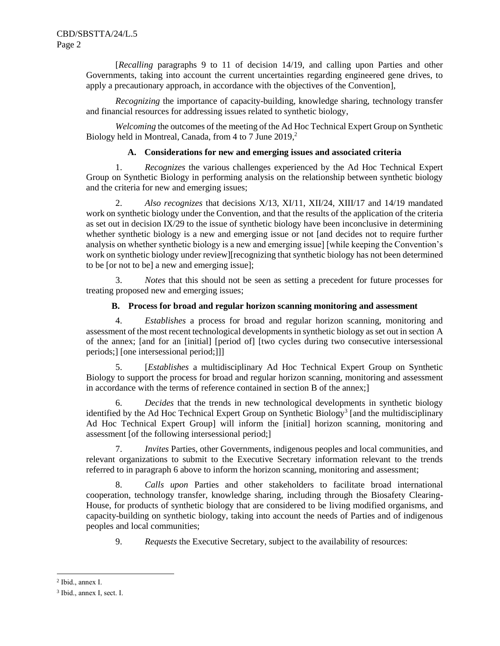[*Recalling* paragraphs 9 to 11 of decision 14/19, and calling upon Parties and other Governments, taking into account the current uncertainties regarding engineered gene drives, to apply a precautionary approach, in accordance with the objectives of the Convention],

*Recognizing* the importance of capacity-building, knowledge sharing, technology transfer and financial resources for addressing issues related to synthetic biology,

*Welcoming* the outcomes of the meeting of the Ad Hoc Technical Expert Group on Synthetic Biology held in Montreal, Canada, from 4 to 7 June 2019, 2

## **A. Considerations for new and emerging issues and associated criteria**

1. *Recognizes* the various challenges experienced by the Ad Hoc Technical Expert Group on Synthetic Biology in performing analysis on the relationship between synthetic biology and the criteria for new and emerging issues;

2. *Also recognizes* that decisions X/13, XI/11, XII/24, XIII/17 and 14/19 mandated work on synthetic biology under the Convention, and that the results of the application of the criteria as set out in decision IX/29 to the issue of synthetic biology have been inconclusive in determining whether synthetic biology is a new and emerging issue or not [and decides not to require further analysis on whether synthetic biology is a new and emerging issue] [while keeping the Convention's work on synthetic biology under review][recognizing that synthetic biology has not been determined to be [or not to be] a new and emerging issue];

3. *Notes* that this should not be seen as setting a precedent for future processes for treating proposed new and emerging issues;

#### **B. Process for broad and regular horizon scanning monitoring and assessment**

4. *Establishes* a process for broad and regular horizon scanning, monitoring and assessment of the most recent technological developments in synthetic biology as set out in section A of the annex; [and for an [initial] [period of] [two cycles during two consecutive intersessional periods;] [one intersessional period;]]]

5. [*Establishes* a multidisciplinary Ad Hoc Technical Expert Group on Synthetic Biology to support the process for broad and regular horizon scanning, monitoring and assessment in accordance with the terms of reference contained in section B of the annex;]

6. *Decides* that the trends in new technological developments in synthetic biology identified by the Ad Hoc Technical Expert Group on Synthetic Biology<sup>3</sup> [and the multidisciplinary Ad Hoc Technical Expert Group] will inform the [initial] horizon scanning, monitoring and assessment [of the following intersessional period;]

7. *Invites* Parties, other Governments, indigenous peoples and local communities, and relevant organizations to submit to the Executive Secretary information relevant to the trends referred to in paragraph 6 above to inform the horizon scanning, monitoring and assessment;

8. *Calls upon* Parties and other stakeholders to facilitate broad international cooperation, technology transfer, knowledge sharing, including through the Biosafety Clearing-House, for products of synthetic biology that are considered to be living modified organisms, and capacity-building on synthetic biology, taking into account the needs of Parties and of indigenous peoples and local communities;

9. *Requests* the Executive Secretary, subject to the availability of resources:

l

<sup>2</sup> Ibid., annex I.

<sup>3</sup> Ibid., annex I, sect. I.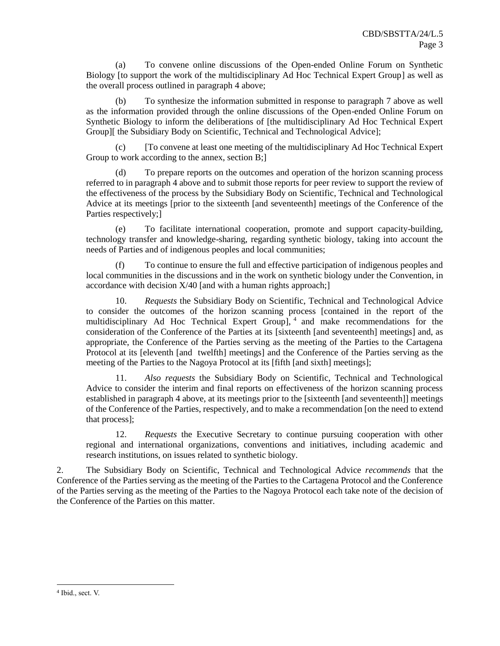(a) To convene online discussions of the Open-ended Online Forum on Synthetic Biology [to support the work of the multidisciplinary Ad Hoc Technical Expert Group] as well as the overall process outlined in paragraph 4 above;

To synthesize the information submitted in response to paragraph 7 above as well as the information provided through the online discussions of the Open-ended Online Forum on Synthetic Biology to inform the deliberations of [the multidisciplinary Ad Hoc Technical Expert Group][ the Subsidiary Body on Scientific, Technical and Technological Advice];

(c) [To convene at least one meeting of the multidisciplinary Ad Hoc Technical Expert Group to work according to the annex, section B;

(d) To prepare reports on the outcomes and operation of the horizon scanning process referred to in paragraph 4 above and to submit those reports for peer review to support the review of the effectiveness of the process by the Subsidiary Body on Scientific, Technical and Technological Advice at its meetings [prior to the sixteenth [and seventeenth] meetings of the Conference of the Parties respectively;]

(e) To facilitate international cooperation, promote and support capacity-building, technology transfer and knowledge-sharing, regarding synthetic biology, taking into account the needs of Parties and of indigenous peoples and local communities;

(f) To continue to ensure the full and effective participation of indigenous peoples and local communities in the discussions and in the work on synthetic biology under the Convention, in accordance with decision X/40 [and with a human rights approach;]

10. *Requests* the Subsidiary Body on Scientific, Technical and Technological Advice to consider the outcomes of the horizon scanning process [contained in the report of the multidisciplinary Ad Hoc Technical Expert Group], 4 and make recommendations for the consideration of the Conference of the Parties at its [sixteenth [and seventeenth] meetings] and, as appropriate, the Conference of the Parties serving as the meeting of the Parties to the Cartagena Protocol at its [eleventh [and twelfth] meetings] and the Conference of the Parties serving as the meeting of the Parties to the Nagoya Protocol at its [fifth [and sixth] meetings];

11. *Also requests* the Subsidiary Body on Scientific, Technical and Technological Advice to consider the interim and final reports on effectiveness of the horizon scanning process established in paragraph 4 above, at its meetings prior to the [sixteenth [and seventeenth]] meetings of the Conference of the Parties, respectively, and to make a recommendation [on the need to extend that process];

12. *Requests* the Executive Secretary to continue pursuing cooperation with other regional and international organizations, conventions and initiatives, including academic and research institutions, on issues related to synthetic biology.

2. The Subsidiary Body on Scientific, Technical and Technological Advice *recommends* that the Conference of the Parties serving as the meeting of the Parties to the Cartagena Protocol and the Conference of the Parties serving as the meeting of the Parties to the Nagoya Protocol each take note of the decision of the Conference of the Parties on this matter.

 $\overline{a}$ 

<sup>4</sup> Ibid., sect. V.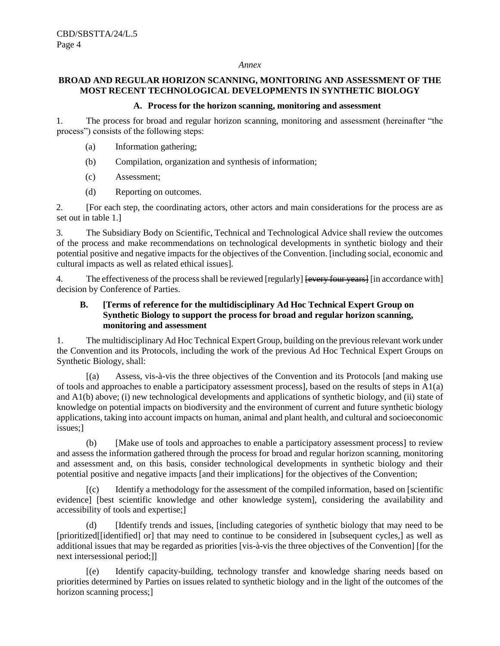#### *Annex*

## **BROAD AND REGULAR HORIZON SCANNING, MONITORING AND ASSESSMENT OF THE MOST RECENT TECHNOLOGICAL DEVELOPMENTS IN SYNTHETIC BIOLOGY**

#### **A. Process for the horizon scanning, monitoring and assessment**

1. The process for broad and regular horizon scanning, monitoring and assessment (hereinafter "the process") consists of the following steps:

- (a) Information gathering;
- (b) Compilation, organization and synthesis of information;
- (c) Assessment;
- (d) Reporting on outcomes.

2. [For each step, the coordinating actors, other actors and main considerations for the process are as set out in table 1.]

3. The Subsidiary Body on Scientific, Technical and Technological Advice shall review the outcomes of the process and make recommendations on technological developments in synthetic biology and their potential positive and negative impacts for the objectives of the Convention. [including social, economic and cultural impacts as well as related ethical issues].

4. The effectiveness of the process shall be reviewed [regularly] [every four years] [in accordance with] decision by Conference of Parties.

## **B. [Terms of reference for the multidisciplinary Ad Hoc Technical Expert Group on Synthetic Biology to support the process for broad and regular horizon scanning, monitoring and assessment**

1. The multidisciplinary Ad Hoc Technical Expert Group, building on the previous relevant work under the Convention and its Protocols, including the work of the previous Ad Hoc Technical Expert Groups on Synthetic Biology, shall:

[(a) Assess, vis-à-vis the three objectives of the Convention and its Protocols [and making use of tools and approaches to enable a participatory assessment process], based on the results of steps in A1(a) and A1(b) above; (i) new technological developments and applications of synthetic biology, and (ii) state of knowledge on potential impacts on biodiversity and the environment of current and future synthetic biology applications, taking into account impacts on human, animal and plant health, and cultural and socioeconomic issues;]

(b) [Make use of tools and approaches to enable a participatory assessment process] to review and assess the information gathered through the process for broad and regular horizon scanning, monitoring and assessment and, on this basis, consider technological developments in synthetic biology and their potential positive and negative impacts [and their implications] for the objectives of the Convention;

[(c) Identify a methodology for the assessment of the compiled information, based on [scientific evidence] [best scientific knowledge and other knowledge system], considering the availability and accessibility of tools and expertise;]

(d) [Identify trends and issues, [including categories of synthetic biology that may need to be [prioritized[[identified] or] that may need to continue to be considered in [subsequent cycles,] as well as additional issues that may be regarded as priorities [vis-à-vis the three objectives of the Convention] [for the next intersessional period;]]

[(e) Identify capacity-building, technology transfer and knowledge sharing needs based on priorities determined by Parties on issues related to synthetic biology and in the light of the outcomes of the horizon scanning process;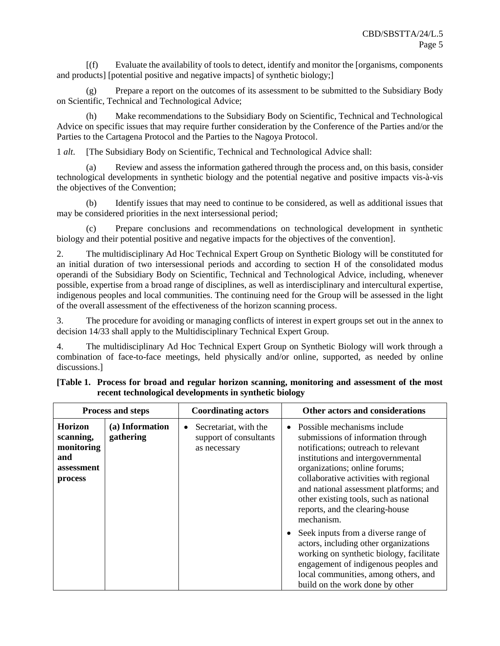[(f) Evaluate the availability of tools to detect, identify and monitor the [organisms, components and products] [potential positive and negative impacts] of synthetic biology;]

(g) Prepare a report on the outcomes of its assessment to be submitted to the Subsidiary Body on Scientific, Technical and Technological Advice;

(h) Make recommendations to the Subsidiary Body on Scientific, Technical and Technological Advice on specific issues that may require further consideration by the Conference of the Parties and/or the Parties to the Cartagena Protocol and the Parties to the Nagoya Protocol.

1 *alt*. [The Subsidiary Body on Scientific, Technical and Technological Advice shall:

(a) Review and assess the information gathered through the process and, on this basis, consider technological developments in synthetic biology and the potential negative and positive impacts vis-à-vis the objectives of the Convention;

(b) Identify issues that may need to continue to be considered, as well as additional issues that may be considered priorities in the next intersessional period;

(c) Prepare conclusions and recommendations on technological development in synthetic biology and their potential positive and negative impacts for the objectives of the convention].

2. The multidisciplinary Ad Hoc Technical Expert Group on Synthetic Biology will be constituted for an initial duration of two intersessional periods and according to section H of the consolidated modus operandi of the Subsidiary Body on Scientific, Technical and Technological Advice, including, whenever possible, expertise from a broad range of disciplines, as well as interdisciplinary and intercultural expertise, indigenous peoples and local communities. The continuing need for the Group will be assessed in the light of the overall assessment of the effectiveness of the horizon scanning process.

3. The procedure for avoiding or managing conflicts of interest in expert groups set out in the annex to decision 14/33 shall apply to the Multidisciplinary Technical Expert Group.

4. The multidisciplinary Ad Hoc Technical Expert Group on Synthetic Biology will work through a combination of face-to-face meetings, held physically and/or online, supported, as needed by online discussions.]

| <b>Process and steps</b>                                                  |                              | <b>Coordinating actors</b>                                           | Other actors and considerations                                                                                                                                                                                                                                                                                                                                          |
|---------------------------------------------------------------------------|------------------------------|----------------------------------------------------------------------|--------------------------------------------------------------------------------------------------------------------------------------------------------------------------------------------------------------------------------------------------------------------------------------------------------------------------------------------------------------------------|
| <b>Horizon</b><br>scanning,<br>monitoring<br>and<br>assessment<br>process | (a) Information<br>gathering | Secretariat, with the<br>٠<br>support of consultants<br>as necessary | $\bullet$ Possible mechanisms include<br>submissions of information through<br>notifications; outreach to relevant<br>institutions and intergovernmental<br>organizations; online forums;<br>collaborative activities with regional<br>and national assessment platforms; and<br>other existing tools, such as national<br>reports, and the clearing-house<br>mechanism. |
|                                                                           |                              |                                                                      | Seek inputs from a diverse range of<br>actors, including other organizations<br>working on synthetic biology, facilitate<br>engagement of indigenous peoples and<br>local communities, among others, and<br>build on the work done by other                                                                                                                              |

| [Table 1. Process for broad and regular horizon scanning, monitoring and assessment of the most |  |  |  |  |  |
|-------------------------------------------------------------------------------------------------|--|--|--|--|--|
| recent technological developments in synthetic biology                                          |  |  |  |  |  |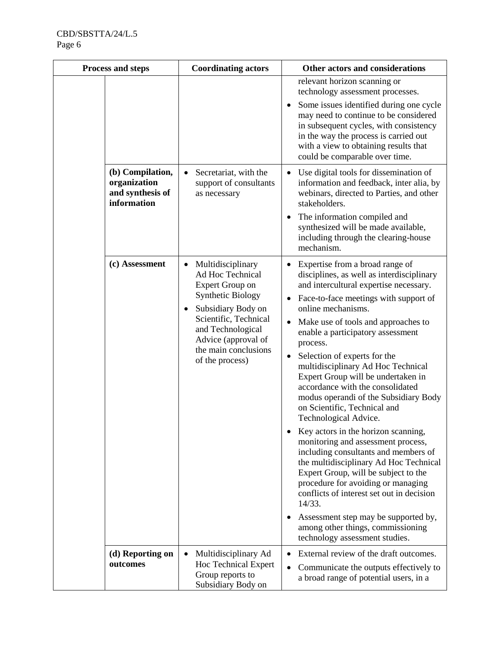| <b>Process and steps</b>                        |                  | <b>Coordinating actors</b>                                                                                                                                                                                                              | Other actors and considerations                                                                                                                                                                                                                                                                                                                                                                                                                                                                                                                                                                                                                                                                                                                                                                                                                                                                                                                                                                     |
|-------------------------------------------------|------------------|-----------------------------------------------------------------------------------------------------------------------------------------------------------------------------------------------------------------------------------------|-----------------------------------------------------------------------------------------------------------------------------------------------------------------------------------------------------------------------------------------------------------------------------------------------------------------------------------------------------------------------------------------------------------------------------------------------------------------------------------------------------------------------------------------------------------------------------------------------------------------------------------------------------------------------------------------------------------------------------------------------------------------------------------------------------------------------------------------------------------------------------------------------------------------------------------------------------------------------------------------------------|
|                                                 |                  |                                                                                                                                                                                                                                         | relevant horizon scanning or<br>technology assessment processes.<br>Some issues identified during one cycle<br>may need to continue to be considered<br>in subsequent cycles, with consistency<br>in the way the process is carried out<br>with a view to obtaining results that<br>could be comparable over time.                                                                                                                                                                                                                                                                                                                                                                                                                                                                                                                                                                                                                                                                                  |
| organization<br>and synthesis of<br>information | (b) Compilation, | Secretariat, with the<br>support of consultants<br>as necessary                                                                                                                                                                         | Use digital tools for dissemination of<br>$\bullet$<br>information and feedback, inter alia, by<br>webinars, directed to Parties, and other<br>stakeholders.<br>The information compiled and<br>$\bullet$<br>synthesized will be made available,<br>including through the clearing-house<br>mechanism.                                                                                                                                                                                                                                                                                                                                                                                                                                                                                                                                                                                                                                                                                              |
| (c) Assessment                                  |                  | Multidisciplinary<br>$\bullet$<br>Ad Hoc Technical<br>Expert Group on<br><b>Synthetic Biology</b><br>Subsidiary Body on<br>Scientific, Technical<br>and Technological<br>Advice (approval of<br>the main conclusions<br>of the process) | Expertise from a broad range of<br>٠<br>disciplines, as well as interdisciplinary<br>and intercultural expertise necessary.<br>Face-to-face meetings with support of<br>$\bullet$<br>online mechanisms.<br>Make use of tools and approaches to<br>$\bullet$<br>enable a participatory assessment<br>process.<br>Selection of experts for the<br>٠<br>multidisciplinary Ad Hoc Technical<br>Expert Group will be undertaken in<br>accordance with the consolidated<br>modus operandi of the Subsidiary Body<br>on Scientific, Technical and<br>Technological Advice.<br>Key actors in the horizon scanning,<br>monitoring and assessment process,<br>including consultants and members of<br>the multidisciplinary Ad Hoc Technical<br>Expert Group, will be subject to the<br>procedure for avoiding or managing<br>conflicts of interest set out in decision<br>14/33.<br>Assessment step may be supported by,<br>$\bullet$<br>among other things, commissioning<br>technology assessment studies. |
| outcomes                                        | (d) Reporting on | Multidisciplinary Ad<br>$\bullet$<br>Hoc Technical Expert<br>Group reports to<br>Subsidiary Body on                                                                                                                                     | External review of the draft outcomes.<br>$\bullet$<br>Communicate the outputs effectively to<br>$\bullet$<br>a broad range of potential users, in a                                                                                                                                                                                                                                                                                                                                                                                                                                                                                                                                                                                                                                                                                                                                                                                                                                                |